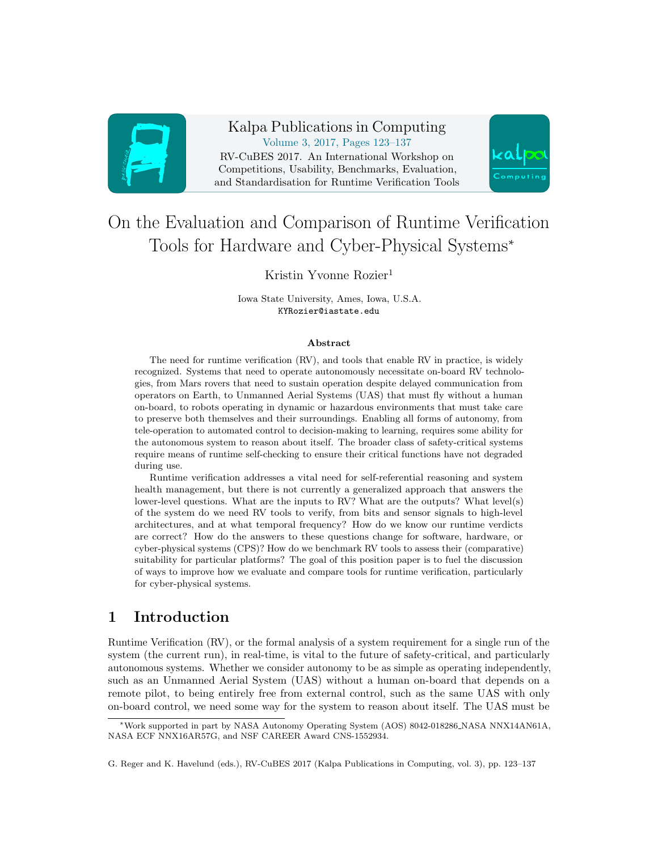

Kalpa Publications in Computing Volume 3, 2017, Pages 123–137 RV-CuBES 2017. An International Workshop on Competitions, Usability, Benchmarks, Evaluation, and Standardisation for Runtime Verification Tools



# On the Evaluation and Comparison of Runtime Verification Tools for Hardware and Cyber-Physical Systems<sup>∗</sup>

### Kristin Yvonne Rozier<sup>1</sup>

Iowa State University, Ames, Iowa, U.S.A. KYRozier@iastate.edu

#### Abstract

The need for runtime verification (RV), and tools that enable RV in practice, is widely recognized. Systems that need to operate autonomously necessitate on-board RV technologies, from Mars rovers that need to sustain operation despite delayed communication from operators on Earth, to Unmanned Aerial Systems (UAS) that must fly without a human on-board, to robots operating in dynamic or hazardous environments that must take care to preserve both themselves and their surroundings. Enabling all forms of autonomy, from tele-operation to automated control to decision-making to learning, requires some ability for the autonomous system to reason about itself. The broader class of safety-critical systems require means of runtime self-checking to ensure their critical functions have not degraded during use.

Runtime verification addresses a vital need for self-referential reasoning and system health management, but there is not currently a generalized approach that answers the lower-level questions. What are the inputs to RV? What are the outputs? What level(s) of the system do we need RV tools to verify, from bits and sensor signals to high-level architectures, and at what temporal frequency? How do we know our runtime verdicts are correct? How do the answers to these questions change for software, hardware, or cyber-physical systems (CPS)? How do we benchmark RV tools to assess their (comparative) suitability for particular platforms? The goal of this position paper is to fuel the discussion of ways to improve how we evaluate and compare tools for runtime verification, particularly for cyber-physical systems.

## <span id="page-0-0"></span>1 Introduction

Runtime Verification (RV), or the formal analysis of a system requirement for a single run of the system (the current run), in real-time, is vital to the future of safety-critical, and particularly autonomous systems. Whether we consider autonomy to be as simple as operating independently, such as an Unmanned Aerial System (UAS) without a human on-board that depends on a remote pilot, to being entirely free from external control, such as the same UAS with only on-board control, we need some way for the system to reason about itself. The UAS must be

<sup>∗</sup>Work supported in part by NASA Autonomy Operating System (AOS) 8042-018286 NASA NNX14AN61A, NASA ECF NNX16AR57G, and NSF CAREER Award CNS-1552934.

G. Reger and K. Havelund (eds.), RV-CuBES 2017 (Kalpa Publications in Computing, vol. 3), pp. 123–137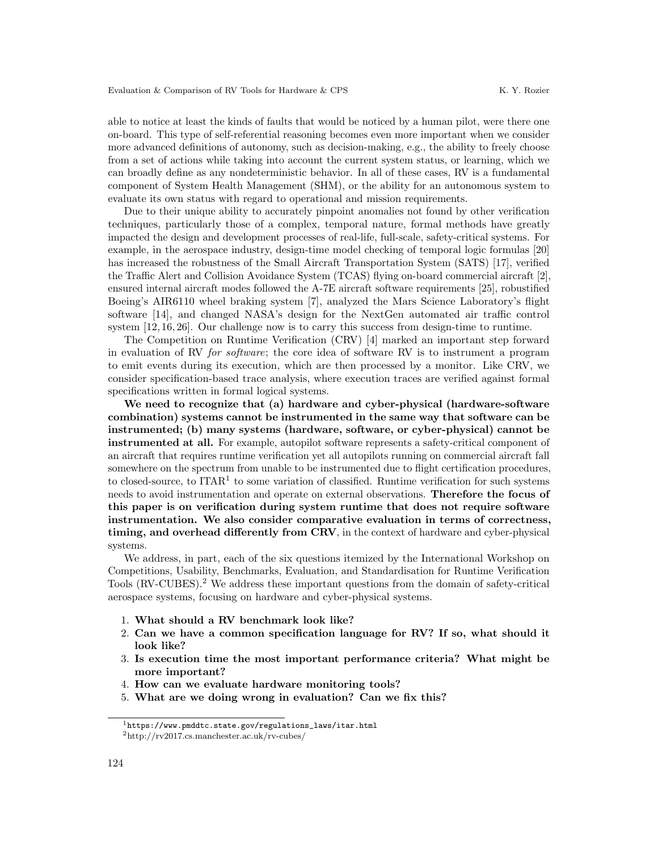able to notice at least the kinds of faults that would be noticed by a human pilot, were there one on-board. This type of self-referential reasoning becomes even more important when we consider more advanced definitions of autonomy, such as decision-making, e.g., the ability to freely choose from a set of actions while taking into account the current system status, or learning, which we can broadly define as any nondeterministic behavior. In all of these cases, RV is a fundamental component of System Health Management (SHM), or the ability for an autonomous system to evaluate its own status with regard to operational and mission requirements.

Due to their unique ability to accurately pinpoint anomalies not found by other verification techniques, particularly those of a complex, temporal nature, formal methods have greatly impacted the design and development processes of real-life, full-scale, safety-critical systems. For example, in the aerospace industry, design-time model checking of temporal logic formulas [\[20\]](#page-14-0) has increased the robustness of the Small Aircraft Transportation System (SATS) [\[17\]](#page-13-0), verified the Traffic Alert and Collision Avoidance System (TCAS) flying on-board commercial aircraft [\[2\]](#page-13-1), ensured internal aircraft modes followed the A-7E aircraft software requirements [\[25\]](#page-14-1), robustified Boeing's AIR6110 wheel braking system [\[7\]](#page-13-2), analyzed the Mars Science Laboratory's flight software [\[14\]](#page-13-3), and changed NASA's design for the NextGen automated air traffic control system [\[12,](#page-13-4) [16,](#page-13-5) [26\]](#page-14-2). Our challenge now is to carry this success from design-time to runtime.

The Competition on Runtime Verification (CRV) [\[4\]](#page-13-6) marked an important step forward in evaluation of RV for software; the core idea of software RV is to instrument a program to emit events during its execution, which are then processed by a monitor. Like CRV, we consider specification-based trace analysis, where execution traces are verified against formal specifications written in formal logical systems.

We need to recognize that (a) hardware and cyber-physical (hardware-software combination) systems cannot be instrumented in the same way that software can be instrumented; (b) many systems (hardware, software, or cyber-physical) cannot be instrumented at all. For example, autopilot software represents a safety-critical component of an aircraft that requires runtime verification yet all autopilots running on commercial aircraft fall somewhere on the spectrum from unable to be instrumented due to flight certification procedures, to closed-source, to ITAR<sup>[1](#page-1-0)</sup> to some variation of classified. Runtime verification for such systems needs to avoid instrumentation and operate on external observations. Therefore the focus of this paper is on verification during system runtime that does not require software instrumentation. We also consider comparative evaluation in terms of correctness, timing, and overhead differently from CRV, in the context of hardware and cyber-physical systems.

We address, in part, each of the six questions itemized by the International Workshop on Competitions, Usability, Benchmarks, Evaluation, and Standardisation for Runtime Verification Tools (RV-CUBES).[2](#page-1-1) We address these important questions from the domain of safety-critical aerospace systems, focusing on hardware and cyber-physical systems.

- 1. What should a RV benchmark look like?
- 2. Can we have a common specification language for RV? If so, what should it look like?
- 3. Is execution time the most important performance criteria? What might be more important?
- 4. How can we evaluate hardware monitoring tools?
- 5. What are we doing wrong in evaluation? Can we fix this?

<span id="page-1-1"></span><span id="page-1-0"></span><sup>1</sup>[https://www.pmddtc.state.gov/regulations\\_laws/itar.html](https://www.pmddtc.state.gov/regulations_laws/itar.html)  $^2$ http://rv2017.cs.manchester.ac.uk/rv-cubes/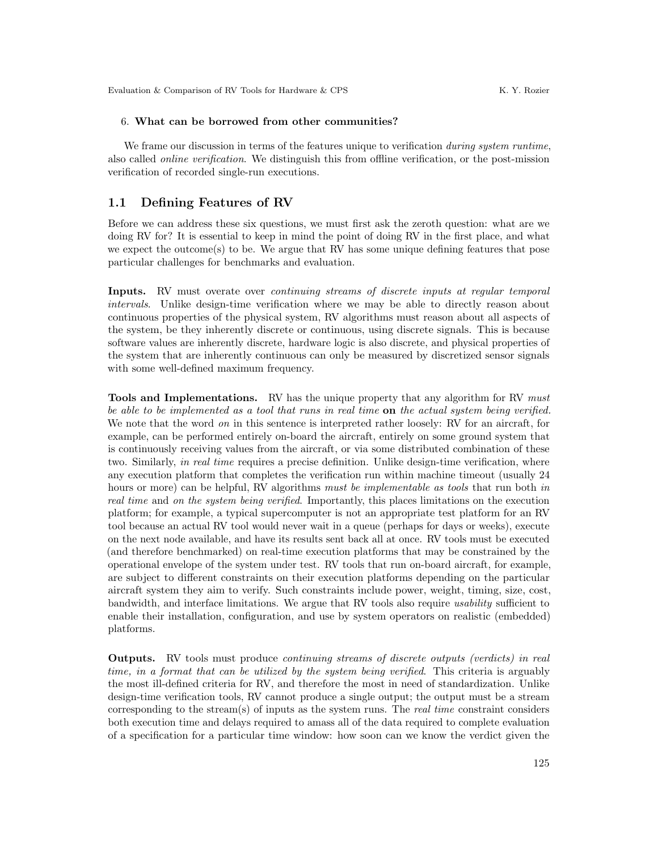#### 6. What can be borrowed from other communities?

We frame our discussion in terms of the features unique to verification *during system runtime*, also called online verification. We distinguish this from offline verification, or the post-mission verification of recorded single-run executions.

### 1.1 Defining Features of RV

Before we can address these six questions, we must first ask the zeroth question: what are we doing RV for? It is essential to keep in mind the point of doing RV in the first place, and what we expect the outcome(s) to be. We argue that RV has some unique defining features that pose particular challenges for benchmarks and evaluation.

Inputs. RV must overate over continuing streams of discrete inputs at regular temporal intervals. Unlike design-time verification where we may be able to directly reason about continuous properties of the physical system, RV algorithms must reason about all aspects of the system, be they inherently discrete or continuous, using discrete signals. This is because software values are inherently discrete, hardware logic is also discrete, and physical properties of the system that are inherently continuous can only be measured by discretized sensor signals with some well-defined maximum frequency.

Tools and Implementations. RV has the unique property that any algorithm for RV must be able to be implemented as a tool that runs in real time **on** the actual system being verified. We note that the word *on* in this sentence is interpreted rather loosely: RV for an aircraft, for example, can be performed entirely on-board the aircraft, entirely on some ground system that is continuously receiving values from the aircraft, or via some distributed combination of these two. Similarly, in real time requires a precise definition. Unlike design-time verification, where any execution platform that completes the verification run within machine timeout (usually 24 hours or more) can be helpful, RV algorithms must be implementable as tools that run both in real time and on the system being verified. Importantly, this places limitations on the execution platform; for example, a typical supercomputer is not an appropriate test platform for an RV tool because an actual RV tool would never wait in a queue (perhaps for days or weeks), execute on the next node available, and have its results sent back all at once. RV tools must be executed (and therefore benchmarked) on real-time execution platforms that may be constrained by the operational envelope of the system under test. RV tools that run on-board aircraft, for example, are subject to different constraints on their execution platforms depending on the particular aircraft system they aim to verify. Such constraints include power, weight, timing, size, cost, bandwidth, and interface limitations. We argue that RV tools also require usability sufficient to enable their installation, configuration, and use by system operators on realistic (embedded) platforms.

Outputs. RV tools must produce continuing streams of discrete outputs (verdicts) in real time, in a format that can be utilized by the system being verified. This criteria is arguably the most ill-defined criteria for RV, and therefore the most in need of standardization. Unlike design-time verification tools, RV cannot produce a single output; the output must be a stream corresponding to the stream(s) of inputs as the system runs. The real time constraint considers both execution time and delays required to amass all of the data required to complete evaluation of a specification for a particular time window: how soon can we know the verdict given the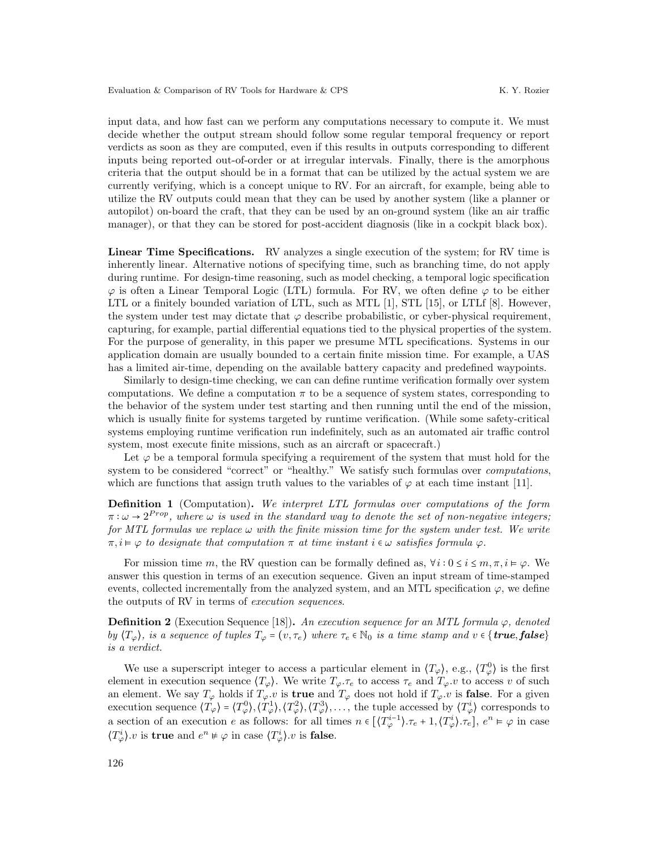input data, and how fast can we perform any computations necessary to compute it. We must decide whether the output stream should follow some regular temporal frequency or report verdicts as soon as they are computed, even if this results in outputs corresponding to different inputs being reported out-of-order or at irregular intervals. Finally, there is the amorphous criteria that the output should be in a format that can be utilized by the actual system we are currently verifying, which is a concept unique to RV. For an aircraft, for example, being able to utilize the RV outputs could mean that they can be used by another system (like a planner or autopilot) on-board the craft, that they can be used by an on-ground system (like an air traffic manager), or that they can be stored for post-accident diagnosis (like in a cockpit black box).

Linear Time Specifications. RV analyzes a single execution of the system; for RV time is inherently linear. Alternative notions of specifying time, such as branching time, do not apply during runtime. For design-time reasoning, such as model checking, a temporal logic specification  $\varphi$  is often a Linear Temporal Logic (LTL) formula. For RV, we often define  $\varphi$  to be either LTL or a finitely bounded variation of LTL, such as MTL [\[1\]](#page-13-7), STL [\[15\]](#page-13-8), or LTLf [\[8\]](#page-13-9). However, the system under test may dictate that  $\varphi$  describe probabilistic, or cyber-physical requirement, capturing, for example, partial differential equations tied to the physical properties of the system. For the purpose of generality, in this paper we presume MTL specifications. Systems in our application domain are usually bounded to a certain finite mission time. For example, a UAS has a limited air-time, depending on the available battery capacity and predefined waypoints.

Similarly to design-time checking, we can can define runtime verification formally over system computations. We define a computation  $\pi$  to be a sequence of system states, corresponding to the behavior of the system under test starting and then running until the end of the mission, which is usually finite for systems targeted by runtime verification. (While some safety-critical systems employing runtime verification run indefinitely, such as an automated air traffic control system, most execute finite missions, such as an aircraft or spacecraft.)

Let  $\varphi$  be a temporal formula specifying a requirement of the system that must hold for the system to be considered "correct" or "healthy." We satisfy such formulas over *computations*, which are functions that assign truth values to the variables of  $\varphi$  at each time instant [\[11\]](#page-13-10).

Definition 1 (Computation). We interpret LTL formulas over computations of the form  $\pi : \omega \to 2^{Prop}$ , where  $\omega$  is used in the standard way to denote the set of non-negative integers; for MTL formulas we replace  $\omega$  with the finite mission time for the system under test. We write  $\pi, i \models \varphi$  to designate that computation  $\pi$  at time instant  $i \in \omega$  satisfies formula  $\varphi$ .

For mission time m, the RV question can be formally defined as,  $\forall i : 0 \leq i \leq m, \pi, i \models \varphi$ . We answer this question in terms of an execution sequence. Given an input stream of time-stamped events, collected incrementally from the analyzed system, and an MTL specification  $\varphi$ , we define the outputs of RV in terms of execution sequences.

<span id="page-3-0"></span>**Definition 2** (Execution Sequence [\[18\]](#page-14-3)). An execution sequence for an MTL formula  $\varphi$ , denoted by  $\langle T_{\varphi} \rangle$ , is a sequence of tuples  $T_{\varphi} = (v, \tau_e)$  where  $\tau_e \in \mathbb{N}_0$  is a time stamp and  $v \in \{true, false\}$ is a verdict.

We use a superscript integer to access a particular element in  $\langle T_{\varphi} \rangle$ , e.g.,  $\langle T_{\varphi}^0 \rangle$  is the first element in execution sequence  $\langle T_{\varphi} \rangle$ . We write  $T_{\varphi} \tau_e$  to access  $\tau_e$  and  $T_{\varphi} \nu$  to access v of such an element. We say  $T_{\varphi}$  holds if  $T_{\varphi}.v$  is **true** and  $T_{\varphi}$  does not hold if  $T_{\varphi}.v$  is **false**. For a given execution sequence  $\langle T_{\varphi} \rangle = \langle T_{\varphi}^0 \rangle, \langle T_{\varphi}^1 \rangle, \langle T_{\varphi}^2 \rangle, \langle T_{\varphi}^3 \rangle, \dots$ , the tuple accessed by  $\langle T_{\varphi}^i \rangle$  corresponds to a section of an execution e as follows: for all times  $n \in [\langle T_{\varphi}^{i-1} \rangle \cdot \tau_e + 1, \langle T_{\varphi}^{i} \rangle \cdot \tau_e], e^n \models \varphi$  in case  $\langle T^i_{\varphi} \rangle$  *v* is **true** and  $e^n \neq \varphi$  in case  $\langle T^i_{\varphi} \rangle$  *v* is **false**.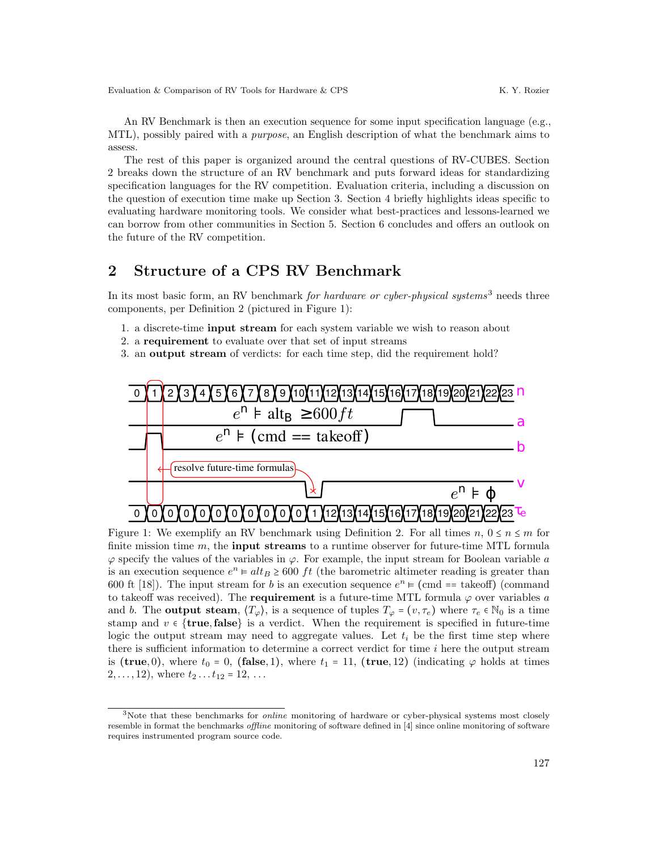An RV Benchmark is then an execution sequence for some input specification language (e.g., MTL), possibly paired with a purpose, an English description of what the benchmark aims to assess.

The rest of this paper is organized around the central questions of RV-CUBES. Section [2](#page-4-0) breaks down the structure of an RV benchmark and puts forward ideas for standardizing specification languages for the RV competition. Evaluation criteria, including a discussion on the question of execution time make up Section [3.](#page-7-0) Section [4](#page-10-0) briefly highlights ideas specific to evaluating hardware monitoring tools. We consider what best-practices and lessons-learned we can borrow from other communities in Section [5.](#page-11-0) Section [6](#page-12-0) concludes and offers an outlook on the future of the RV competition.

## <span id="page-4-0"></span>2 Structure of a CPS RV Benchmark

In its most basic form, an RV benchmark for hardware or cyber-physical systems<sup>[3](#page-4-1)</sup> needs three components, per Definition [2](#page-3-0) (pictured in Figure [1\)](#page-4-2):

- 1. a discrete-time input stream for each system variable we wish to reason about
- 2. a requirement to evaluate over that set of input streams
- 3. an output stream of verdicts: for each time step, did the requirement hold?



<span id="page-4-2"></span>Figure 1: We exemplify an RV benchmark using Definition [2.](#page-3-0) For all times  $n, 0 \le n \le m$  for finite mission time  $m$ , the **input streams** to a runtime observer for future-time MTL formula  $\varphi$  specify the values of the variables in  $\varphi$ . For example, the input stream for Boolean variable a is an execution sequence  $e^n = alt_B \ge 600$  ft (the barometric altimeter reading is greater than 600 ft [\[18\]](#page-14-3)). The input stream for b is an execution sequence  $e^n$   $\models$  (cmd == takeoff) (command to takeoff was received). The **requirement** is a future-time MTL formula  $\varphi$  over variables a and b. The **output steam**,  $\langle T_{\varphi} \rangle$ , is a sequence of tuples  $T_{\varphi} = (v, \tau_e)$  where  $\tau_e \in \mathbb{N}_0$  is a time stamp and  $v \in \{\text{true}, \text{false}\}\$ is a verdict. When the requirement is specified in future-time logic the output stream may need to aggregate values. Let  $t_i$  be the first time step where there is sufficient information to determine a correct verdict for time  $i$  here the output stream is (true, 0), where  $t_0 = 0$ , (false, 1), where  $t_1 = 11$ , (true, 12) (indicating  $\varphi$  holds at times  $2, \ldots, 12$ , where  $t_2 \ldots t_{12} = 12, \ldots$ 

<span id="page-4-1"></span> $3$ Note that these benchmarks for *online* monitoring of hardware or cyber-physical systems most closely resemble in format the benchmarks offline monitoring of software defined in [\[4\]](#page-13-6) since online monitoring of software requires instrumented program source code.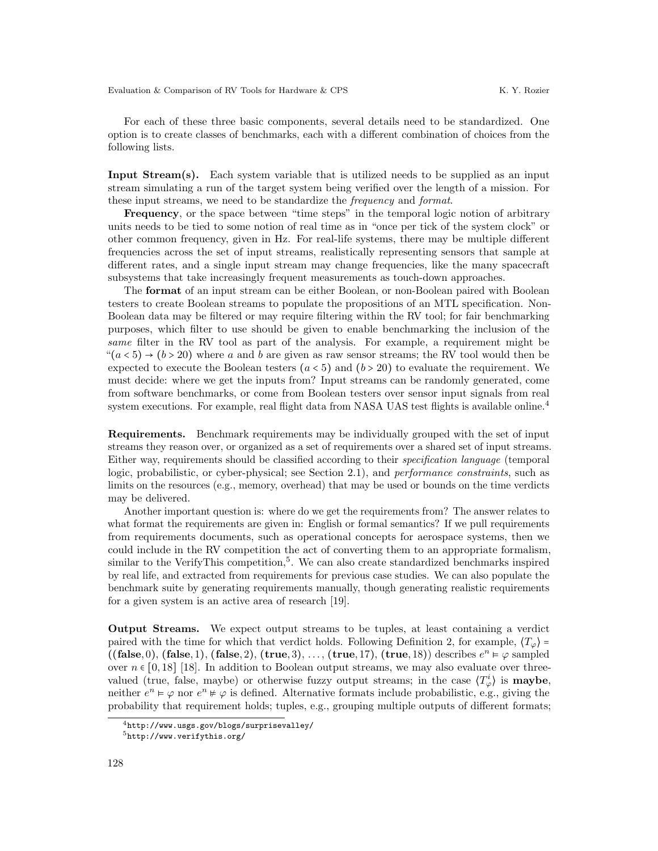For each of these three basic components, several details need to be standardized. One option is to create classes of benchmarks, each with a different combination of choices from the following lists.

Input Stream(s). Each system variable that is utilized needs to be supplied as an input stream simulating a run of the target system being verified over the length of a mission. For these input streams, we need to be standardize the frequency and format.

Frequency, or the space between "time steps" in the temporal logic notion of arbitrary units needs to be tied to some notion of real time as in "once per tick of the system clock" or other common frequency, given in Hz. For real-life systems, there may be multiple different frequencies across the set of input streams, realistically representing sensors that sample at different rates, and a single input stream may change frequencies, like the many spacecraft subsystems that take increasingly frequent measurements as touch-down approaches.

The format of an input stream can be either Boolean, or non-Boolean paired with Boolean testers to create Boolean streams to populate the propositions of an MTL specification. Non-Boolean data may be filtered or may require filtering within the RV tool; for fair benchmarking purposes, which filter to use should be given to enable benchmarking the inclusion of the same filter in the RV tool as part of the analysis. For example, a requirement might be  $((a < 5) \rightarrow (b > 20)$  where a and b are given as raw sensor streams; the RV tool would then be expected to execute the Boolean testers  $(a < 5)$  and  $(b > 20)$  to evaluate the requirement. We must decide: where we get the inputs from? Input streams can be randomly generated, come from software benchmarks, or come from Boolean testers over sensor input signals from real system executions. For example, real flight data from NASA UAS test flights is available online.<sup>[4](#page-5-0)</sup>

Requirements. Benchmark requirements may be individually grouped with the set of input streams they reason over, or organized as a set of requirements over a shared set of input streams. Either way, requirements should be classified according to their specification language (temporal logic, probabilistic, or cyber-physical; see Section [2.1\)](#page-6-0), and *performance constraints*, such as limits on the resources (e.g., memory, overhead) that may be used or bounds on the time verdicts may be delivered.

Another important question is: where do we get the requirements from? The answer relates to what format the requirements are given in: English or formal semantics? If we pull requirements from requirements documents, such as operational concepts for aerospace systems, then we could include in the RV competition the act of converting them to an appropriate formalism, similar to the VerifyThis competition,<sup>[5](#page-5-1)</sup>. We can also create standardized benchmarks inspired by real life, and extracted from requirements for previous case studies. We can also populate the benchmark suite by generating requirements manually, though generating realistic requirements for a given system is an active area of research [\[19\]](#page-14-4).

Output Streams. We expect output streams to be tuples, at least containing a verdict paired with the time for which that verdict holds. Following Definition [2,](#page-3-0) for example,  $\langle T_{\varphi} \rangle$  =  $((false, 0), (false, 1), (false, 2), (true, 3), ..., (true, 17), (true, 18))$  describes  $e^n \vDash \varphi$  sampled over  $n \in [0, 18]$  [\[18\]](#page-14-3). In addition to Boolean output streams, we may also evaluate over threevalued (true, false, maybe) or otherwise fuzzy output streams; in the case  $\langle T_{\varphi}^{i} \rangle$  is **maybe**, neither  $e^n \models \varphi$  nor  $e^n \not\models \varphi$  is defined. Alternative formats include probabilistic, e.g., giving the probability that requirement holds; tuples, e.g., grouping multiple outputs of different formats;

<span id="page-5-0"></span> $^4$ <http://www.usgs.gov/blogs/surprisevalley/>

<span id="page-5-1"></span> ${\rm ^5}$ <http://www.verifythis.org/>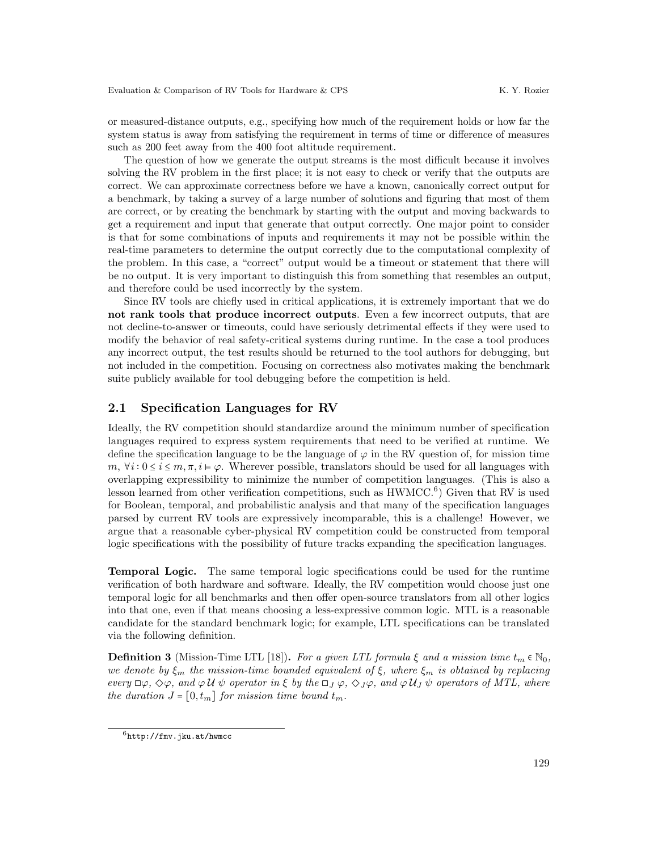or measured-distance outputs, e.g., specifying how much of the requirement holds or how far the system status is away from satisfying the requirement in terms of time or difference of measures such as 200 feet away from the 400 foot altitude requirement.

The question of how we generate the output streams is the most difficult because it involves solving the RV problem in the first place; it is not easy to check or verify that the outputs are correct. We can approximate correctness before we have a known, canonically correct output for a benchmark, by taking a survey of a large number of solutions and figuring that most of them are correct, or by creating the benchmark by starting with the output and moving backwards to get a requirement and input that generate that output correctly. One major point to consider is that for some combinations of inputs and requirements it may not be possible within the real-time parameters to determine the output correctly due to the computational complexity of the problem. In this case, a "correct" output would be a timeout or statement that there will be no output. It is very important to distinguish this from something that resembles an output, and therefore could be used incorrectly by the system.

Since RV tools are chiefly used in critical applications, it is extremely important that we do not rank tools that produce incorrect outputs. Even a few incorrect outputs, that are not decline-to-answer or timeouts, could have seriously detrimental effects if they were used to modify the behavior of real safety-critical systems during runtime. In the case a tool produces any incorrect output, the test results should be returned to the tool authors for debugging, but not included in the competition. Focusing on correctness also motivates making the benchmark suite publicly available for tool debugging before the competition is held.

### <span id="page-6-0"></span>2.1 Specification Languages for RV

Ideally, the RV competition should standardize around the minimum number of specification languages required to express system requirements that need to be verified at runtime. We define the specification language to be the language of  $\varphi$  in the RV question of, for mission time m,  $\forall i: 0 \le i \le m, \pi, i \models \varphi$ . Wherever possible, translators should be used for all languages with overlapping expressibility to minimize the number of competition languages. (This is also a lesson learned from other verification competitions, such as  $HWMCC<sup>6</sup>$  $HWMCC<sup>6</sup>$  $HWMCC<sup>6</sup>$  Given that RV is used for Boolean, temporal, and probabilistic analysis and that many of the specification languages parsed by current RV tools are expressively incomparable, this is a challenge! However, we argue that a reasonable cyber-physical RV competition could be constructed from temporal logic specifications with the possibility of future tracks expanding the specification languages.

Temporal Logic. The same temporal logic specifications could be used for the runtime verification of both hardware and software. Ideally, the RV competition would choose just one temporal logic for all benchmarks and then offer open-source translators from all other logics into that one, even if that means choosing a less-expressive common logic. MTL is a reasonable candidate for the standard benchmark logic; for example, LTL specifications can be translated via the following definition.

**Definition 3** (Mission-Time LTL [\[18\]](#page-14-3)). For a given LTL formula  $\xi$  and a mission time  $t_m \in \mathbb{N}_0$ , we denote by  $\xi_m$  the mission-time bounded equivalent of  $\xi$ , where  $\xi_m$  is obtained by replacing every  $\Box\varphi$ ,  $\Diamond\varphi$ , and  $\varphi\mathcal{U}\psi$  operator in  $\xi$  by the  $\Box_J\varphi$ ,  $\Diamond_J\varphi$ , and  $\varphi\mathcal{U}_J\psi$  operators of MTL, where the duration  $J = [0, t_m]$  for mission time bound  $t_m$ .

<span id="page-6-1"></span> $^6$ <http://fmv.jku.at/hwmcc>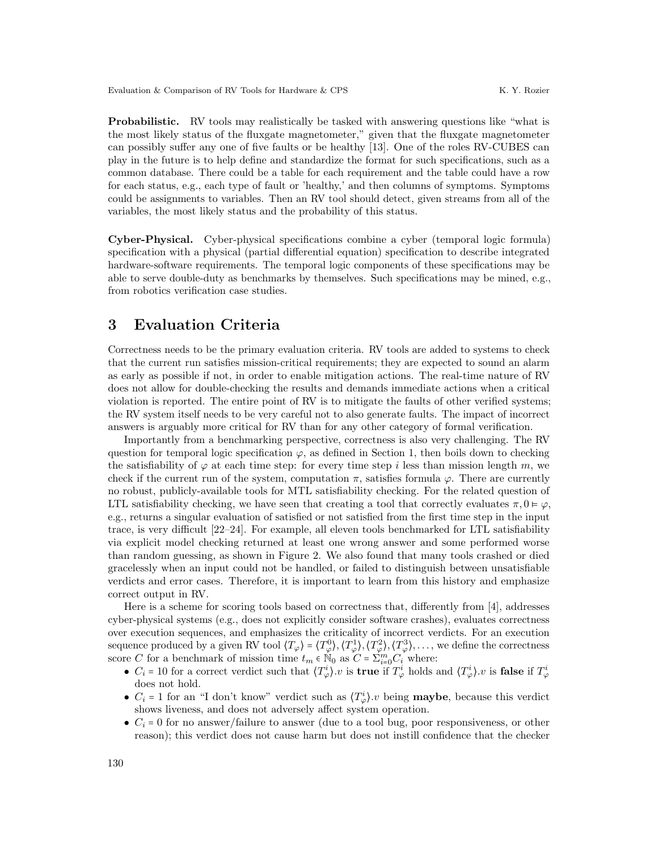Probabilistic. RV tools may realistically be tasked with answering questions like "what is the most likely status of the fluxgate magnetometer," given that the fluxgate magnetometer can possibly suffer any one of five faults or be healthy [\[13\]](#page-13-11). One of the roles RV-CUBES can play in the future is to help define and standardize the format for such specifications, such as a common database. There could be a table for each requirement and the table could have a row for each status, e.g., each type of fault or 'healthy,' and then columns of symptoms. Symptoms could be assignments to variables. Then an RV tool should detect, given streams from all of the variables, the most likely status and the probability of this status.

Cyber-Physical. Cyber-physical specifications combine a cyber (temporal logic formula) specification with a physical (partial differential equation) specification to describe integrated hardware-software requirements. The temporal logic components of these specifications may be able to serve double-duty as benchmarks by themselves. Such specifications may be mined, e.g., from robotics verification case studies.

### <span id="page-7-0"></span>3 Evaluation Criteria

Correctness needs to be the primary evaluation criteria. RV tools are added to systems to check that the current run satisfies mission-critical requirements; they are expected to sound an alarm as early as possible if not, in order to enable mitigation actions. The real-time nature of RV does not allow for double-checking the results and demands immediate actions when a critical violation is reported. The entire point of RV is to mitigate the faults of other verified systems; the RV system itself needs to be very careful not to also generate faults. The impact of incorrect answers is arguably more critical for RV than for any other category of formal verification.

Importantly from a benchmarking perspective, correctness is also very challenging. The RV question for temporal logic specification  $\varphi$ , as defined in Section [1,](#page-0-0) then boils down to checking the satisfiability of  $\varphi$  at each time step: for every time step i less than mission length m, we check if the current run of the system, computation  $\pi$ , satisfies formula  $\varphi$ . There are currently no robust, publicly-available tools for MTL satisfiability checking. For the related question of LTL satisfiability checking, we have seen that creating a tool that correctly evaluates  $\pi, 0 \models \varphi$ , e.g., returns a singular evaluation of satisfied or not satisfied from the first time step in the input trace, is very difficult [\[22](#page-14-5)[–24\]](#page-14-6). For example, all eleven tools benchmarked for LTL satisfiability via explicit model checking returned at least one wrong answer and some performed worse than random guessing, as shown in Figure [2.](#page-8-0) We also found that many tools crashed or died gracelessly when an input could not be handled, or failed to distinguish between unsatisfiable verdicts and error cases. Therefore, it is important to learn from this history and emphasize correct output in RV.

Here is a scheme for scoring tools based on correctness that, differently from [\[4\]](#page-13-6), addresses cyber-physical systems (e.g., does not explicitly consider software crashes), evaluates correctness over execution sequences, and emphasizes the criticality of incorrect verdicts. For an execution sequence produced by a given RV tool  $\langle T_{\varphi} \rangle = \langle T_{\varphi}^0 \rangle, \langle T_{\varphi}^1 \rangle, \langle T_{\varphi}^2 \rangle, \langle T_{\varphi}^3 \rangle, \dots$ , we define the correctness score C for a benchmark of mission time  $t_m \in N_0$  as  $C = \sum_{i=0}^{m} C_i$  where:

- $C_i = 10$  for a correct verdict such that  $\langle T_{\varphi}^i \rangle$ .v is **true** if  $T_{\varphi}^i$  holds and  $\langle T_{\varphi}^i \rangle$ .v is **false** if  $T_{\varphi}^i$ does not hold.
- $C_i = 1$  for an "I don't know" verdict such as  $\langle T^i_{\varphi} \rangle$ . being **maybe**, because this verdict shows liveness, and does not adversely affect system operation.
- $C_i = 0$  for no answer/failure to answer (due to a tool bug, poor responsiveness, or other reason); this verdict does not cause harm but does not instill confidence that the checker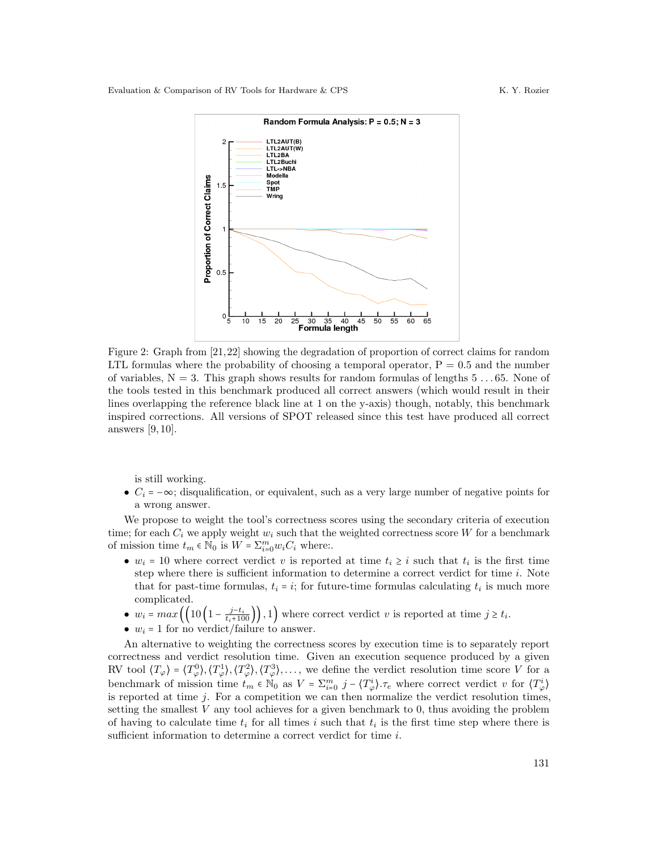

<span id="page-8-0"></span>Figure 2: Graph from [\[21,](#page-14-7)[22\]](#page-14-5) showing the degradation of proportion of correct claims for random LTL formulas where the probability of choosing a temporal operator,  $P = 0.5$  and the number of variables,  $N = 3$ . This graph shows results for random formulas of lengths  $5 \ldots 65$ . None of the tools tested in this benchmark produced all correct answers (which would result in their lines overlapping the reference black line at 1 on the y-axis) though, notably, this benchmark inspired corrections. All versions of SPOT released since this test have produced all correct answers [\[9,](#page-13-12) [10\]](#page-13-13).

is still working.

•  $C_i = -\infty$ ; disqualification, or equivalent, such as a very large number of negative points for a wrong answer.

We propose to weight the tool's correctness scores using the secondary criteria of execution time; for each  $C_i$  we apply weight  $w_i$  such that the weighted correctness score W for a benchmark of mission time  $t_m \in \mathbb{N}_0$  is  $W = \sum_{i=0}^m w_i C_i$  where:

- $w_i = 10$  where correct verdict v is reported at time  $t_i \geq i$  such that  $t_i$  is the first time step where there is sufficient information to determine a correct verdict for time i. Note that for past-time formulas,  $t_i = i$ ; for future-time formulas calculating  $t_i$  is much more complicated.
- $w_i = max\left(\left(10\left(1 \frac{j-t_i}{t_i+100}\right)\right), 1\right)$  where correct verdict v is reported at time  $j \ge t_i$ .
- $w_i = 1$  for no verdict/failure to answer.

An alternative to weighting the correctness scores by execution time is to separately report correctness and verdict resolution time. Given an execution sequence produced by a given RV tool  $\langle T_{\varphi} \rangle = \langle T_{\varphi}^0 \rangle, \langle T_{\varphi}^1 \rangle, \langle T_{\varphi}^2 \rangle, \langle T_{\varphi}^3 \rangle, \dots$ , we define the verdict resolution time score V for a benchmark of mission time  $t_m \in \mathbb{N}_0$  as  $V = \sum_{i=0}^m j - \langle T_{\varphi}^i \rangle$ .  $\tau_e$  where correct verdict v for  $\langle T_{\varphi}^i \rangle$ is reported at time  $j$ . For a competition we can then normalize the verdict resolution times, setting the smallest  $V$  any tool achieves for a given benchmark to 0, thus avoiding the problem of having to calculate time  $t_i$  for all times i such that  $t_i$  is the first time step where there is sufficient information to determine a correct verdict for time i.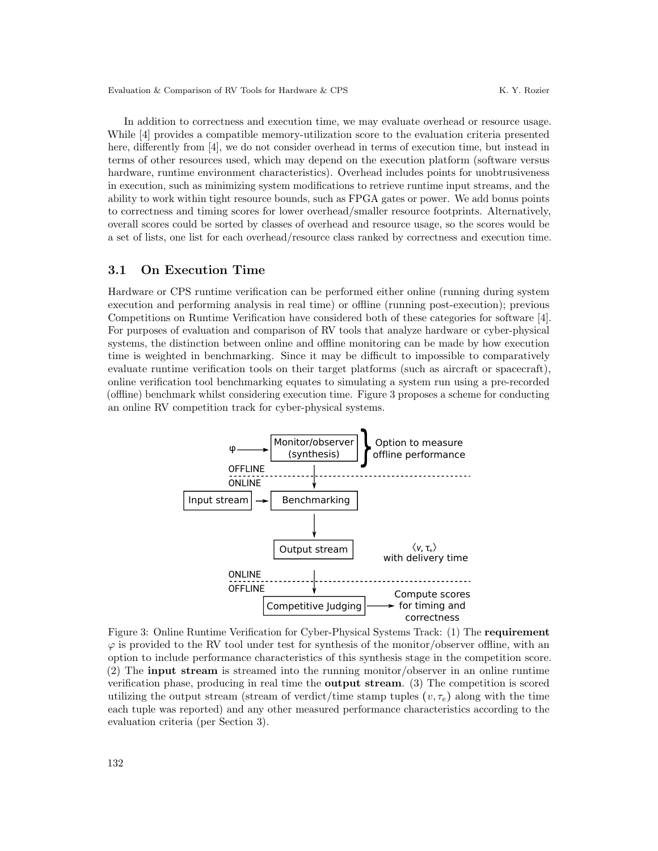Evaluation & Comparison of RV Tools for Hardware & CPS K. Y. Rozier

In addition to correctness and execution time, we may evaluate overhead or resource usage. While [\[4\]](#page-13-6) provides a compatible memory-utilization score to the evaluation criteria presented here, differently from [\[4\]](#page-13-6), we do not consider overhead in terms of execution time, but instead in terms of other resources used, which may depend on the execution platform (software versus hardware, runtime environment characteristics). Overhead includes points for unobtrusiveness in execution, such as minimizing system modifications to retrieve runtime input streams, and the ability to work within tight resource bounds, such as FPGA gates or power. We add bonus points to correctness and timing scores for lower overhead/smaller resource footprints. Alternatively, overall scores could be sorted by classes of overhead and resource usage, so the scores would be a set of lists, one list for each overhead/resource class ranked by correctness and execution time.

#### 3.1 On Execution Time

Hardware or CPS runtime verification can be performed either online (running during system execution and performing analysis in real time) or offline (running post-execution); previous Competitions on Runtime Verification have considered both of these categories for software [\[4\]](#page-13-6). For purposes of evaluation and comparison of RV tools that analyze hardware or cyber-physical systems, the distinction between online and offline monitoring can be made by how execution time is weighted in benchmarking. Since it may be difficult to impossible to comparatively evaluate runtime verification tools on their target platforms (such as aircraft or spacecraft), online verification tool benchmarking equates to simulating a system run using a pre-recorded (offline) benchmark whilst considering execution time. Figure [3](#page-9-0) proposes a scheme for conducting an online RV competition track for cyber-physical systems.

<span id="page-9-0"></span>

Figure 3: Online Runtime Verification for Cyber-Physical Systems Track: (1) The requirement  $\varphi$  is provided to the RV tool under test for synthesis of the monitor/observer offline, with an option to include performance characteristics of this synthesis stage in the competition score. (2) The input stream is streamed into the running monitor/observer in an online runtime verification phase, producing in real time the output stream. (3) The competition is scored utilizing the output stream (stream of verdict/time stamp tuples  $(v, \tau_e)$  along with the time each tuple was reported) and any other measured performance characteristics according to the evaluation criteria (per Section [3\)](#page-7-0).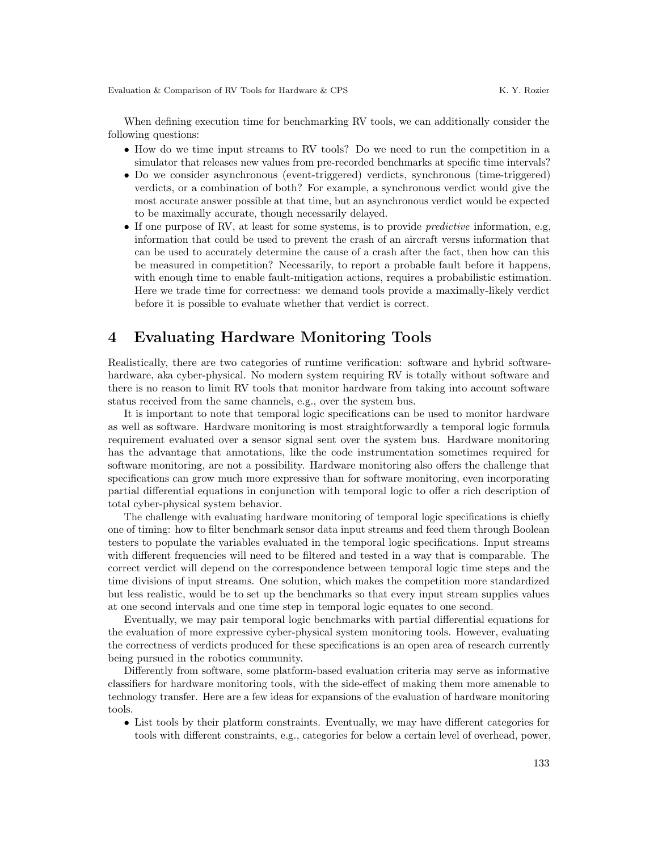When defining execution time for benchmarking RV tools, we can additionally consider the following questions:

- How do we time input streams to RV tools? Do we need to run the competition in a simulator that releases new values from pre-recorded benchmarks at specific time intervals?
- Do we consider asynchronous (event-triggered) verdicts, synchronous (time-triggered) verdicts, or a combination of both? For example, a synchronous verdict would give the most accurate answer possible at that time, but an asynchronous verdict would be expected to be maximally accurate, though necessarily delayed.
- If one purpose of RV, at least for some systems, is to provide *predictive* information, e.g. information that could be used to prevent the crash of an aircraft versus information that can be used to accurately determine the cause of a crash after the fact, then how can this be measured in competition? Necessarily, to report a probable fault before it happens, with enough time to enable fault-mitigation actions, requires a probabilistic estimation. Here we trade time for correctness: we demand tools provide a maximally-likely verdict before it is possible to evaluate whether that verdict is correct.

### <span id="page-10-0"></span>4 Evaluating Hardware Monitoring Tools

Realistically, there are two categories of runtime verification: software and hybrid softwarehardware, aka cyber-physical. No modern system requiring RV is totally without software and there is no reason to limit RV tools that monitor hardware from taking into account software status received from the same channels, e.g., over the system bus.

It is important to note that temporal logic specifications can be used to monitor hardware as well as software. Hardware monitoring is most straightforwardly a temporal logic formula requirement evaluated over a sensor signal sent over the system bus. Hardware monitoring has the advantage that annotations, like the code instrumentation sometimes required for software monitoring, are not a possibility. Hardware monitoring also offers the challenge that specifications can grow much more expressive than for software monitoring, even incorporating partial differential equations in conjunction with temporal logic to offer a rich description of total cyber-physical system behavior.

The challenge with evaluating hardware monitoring of temporal logic specifications is chiefly one of timing: how to filter benchmark sensor data input streams and feed them through Boolean testers to populate the variables evaluated in the temporal logic specifications. Input streams with different frequencies will need to be filtered and tested in a way that is comparable. The correct verdict will depend on the correspondence between temporal logic time steps and the time divisions of input streams. One solution, which makes the competition more standardized but less realistic, would be to set up the benchmarks so that every input stream supplies values at one second intervals and one time step in temporal logic equates to one second.

Eventually, we may pair temporal logic benchmarks with partial differential equations for the evaluation of more expressive cyber-physical system monitoring tools. However, evaluating the correctness of verdicts produced for these specifications is an open area of research currently being pursued in the robotics community.

Differently from software, some platform-based evaluation criteria may serve as informative classifiers for hardware monitoring tools, with the side-effect of making them more amenable to technology transfer. Here are a few ideas for expansions of the evaluation of hardware monitoring tools.

• List tools by their platform constraints. Eventually, we may have different categories for tools with different constraints, e.g., categories for below a certain level of overhead, power,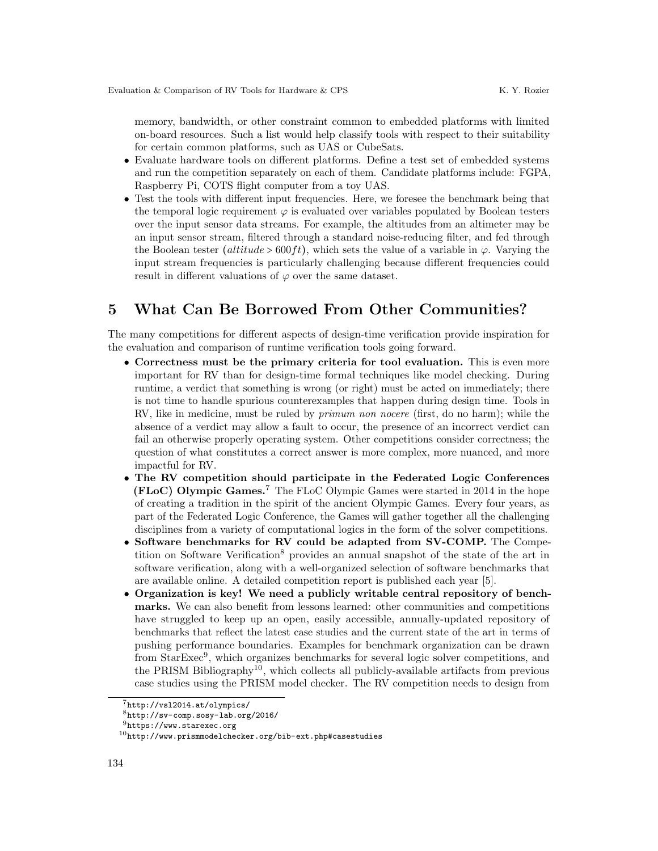memory, bandwidth, or other constraint common to embedded platforms with limited on-board resources. Such a list would help classify tools with respect to their suitability for certain common platforms, such as UAS or CubeSats.

- Evaluate hardware tools on different platforms. Define a test set of embedded systems and run the competition separately on each of them. Candidate platforms include: FGPA, Raspberry Pi, COTS flight computer from a toy UAS.
- Test the tools with different input frequencies. Here, we foresee the benchmark being that the temporal logic requirement  $\varphi$  is evaluated over variables populated by Boolean testers over the input sensor data streams. For example, the altitudes from an altimeter may be an input sensor stream, filtered through a standard noise-reducing filter, and fed through the Boolean tester (altitude > 600ft), which sets the value of a variable in  $\varphi$ . Varying the input stream frequencies is particularly challenging because different frequencies could result in different valuations of  $\varphi$  over the same dataset.

# <span id="page-11-0"></span>5 What Can Be Borrowed From Other Communities?

The many competitions for different aspects of design-time verification provide inspiration for the evaluation and comparison of runtime verification tools going forward.

- Correctness must be the primary criteria for tool evaluation. This is even more important for RV than for design-time formal techniques like model checking. During runtime, a verdict that something is wrong (or right) must be acted on immediately; there is not time to handle spurious counterexamples that happen during design time. Tools in RV, like in medicine, must be ruled by primum non nocere (first, do no harm); while the absence of a verdict may allow a fault to occur, the presence of an incorrect verdict can fail an otherwise properly operating system. Other competitions consider correctness; the question of what constitutes a correct answer is more complex, more nuanced, and more impactful for RV.
- The RV competition should participate in the Federated Logic Conferences (FLoC) Olympic Games.[7](#page-11-1) The FLoC Olympic Games were started in 2014 in the hope of creating a tradition in the spirit of the ancient Olympic Games. Every four years, as part of the Federated Logic Conference, the Games will gather together all the challenging disciplines from a variety of computational logics in the form of the solver competitions.
- Software benchmarks for RV could be adapted from SV-COMP. The Compe-tition on Software Verification<sup>[8](#page-11-2)</sup> provides an annual snapshot of the state of the art in software verification, along with a well-organized selection of software benchmarks that are available online. A detailed competition report is published each year [\[5\]](#page-13-14).
- Organization is key! We need a publicly writable central repository of benchmarks. We can also benefit from lessons learned: other communities and competitions have struggled to keep up an open, easily accessible, annually-updated repository of benchmarks that reflect the latest case studies and the current state of the art in terms of pushing performance boundaries. Examples for benchmark organization can be drawn from StarExec<sup>[9](#page-11-3)</sup>, which organizes benchmarks for several logic solver competitions, and the PRISM Bibliography<sup>[10](#page-11-4)</sup>, which collects all publicly-available artifacts from previous case studies using the PRISM model checker. The RV competition needs to design from

<span id="page-11-1"></span><sup>7</sup><http://vsl2014.at/olympics/>

<span id="page-11-2"></span> $8$ <http://sv-comp.sosy-lab.org/2016/>

<span id="page-11-3"></span> $^{9}$  <br><https://www.starexec.org>  $\,$ 

<span id="page-11-4"></span> $^{10}\mathrm{http://www.prismmodelchecker.org/bib-ext.php\#cases}$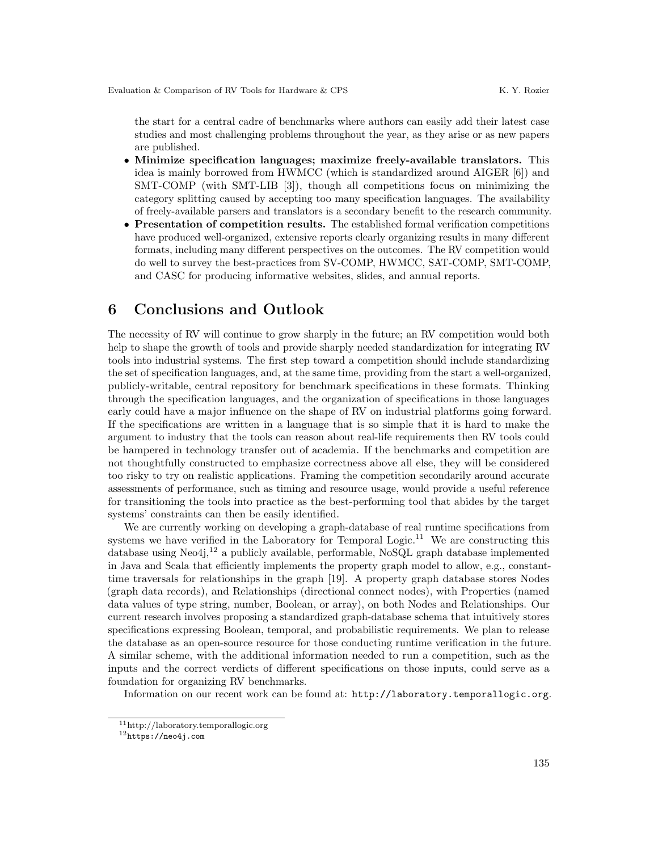the start for a central cadre of benchmarks where authors can easily add their latest case studies and most challenging problems throughout the year, as they arise or as new papers are published.

- Minimize specification languages; maximize freely-available translators. This idea is mainly borrowed from HWMCC (which is standardized around AIGER [\[6\]](#page-13-15)) and SMT-COMP (with SMT-LIB [\[3\]](#page-13-16)), though all competitions focus on minimizing the category splitting caused by accepting too many specification languages. The availability of freely-available parsers and translators is a secondary benefit to the research community.
- Presentation of competition results. The established formal verification competitions have produced well-organized, extensive reports clearly organizing results in many different formats, including many different perspectives on the outcomes. The RV competition would do well to survey the best-practices from SV-COMP, HWMCC, SAT-COMP, SMT-COMP, and CASC for producing informative websites, slides, and annual reports.

### <span id="page-12-0"></span>6 Conclusions and Outlook

The necessity of RV will continue to grow sharply in the future; an RV competition would both help to shape the growth of tools and provide sharply needed standardization for integrating RV tools into industrial systems. The first step toward a competition should include standardizing the set of specification languages, and, at the same time, providing from the start a well-organized, publicly-writable, central repository for benchmark specifications in these formats. Thinking through the specification languages, and the organization of specifications in those languages early could have a major influence on the shape of RV on industrial platforms going forward. If the specifications are written in a language that is so simple that it is hard to make the argument to industry that the tools can reason about real-life requirements then RV tools could be hampered in technology transfer out of academia. If the benchmarks and competition are not thoughtfully constructed to emphasize correctness above all else, they will be considered too risky to try on realistic applications. Framing the competition secondarily around accurate assessments of performance, such as timing and resource usage, would provide a useful reference for transitioning the tools into practice as the best-performing tool that abides by the target systems' constraints can then be easily identified.

We are currently working on developing a graph-database of real runtime specifications from systems we have verified in the Laboratory for Temporal Logic.<sup>[11](#page-12-1)</sup> We are constructing this database using Neo4j,<sup>[12](#page-12-2)</sup> a publicly available, performable, NoSQL graph database implemented in Java and Scala that efficiently implements the property graph model to allow, e.g., constanttime traversals for relationships in the graph [\[19\]](#page-14-4). A property graph database stores Nodes (graph data records), and Relationships (directional connect nodes), with Properties (named data values of type string, number, Boolean, or array), on both Nodes and Relationships. Our current research involves proposing a standardized graph-database schema that intuitively stores specifications expressing Boolean, temporal, and probabilistic requirements. We plan to release the database as an open-source resource for those conducting runtime verification in the future. A similar scheme, with the additional information needed to run a competition, such as the inputs and the correct verdicts of different specifications on those inputs, could serve as a foundation for organizing RV benchmarks.

Information on our recent work can be found at: <http://laboratory.temporallogic.org>.

<span id="page-12-1"></span><sup>11</sup>http://laboratory.temporallogic.org

<span id="page-12-2"></span> $^{12}\mathrm{https://neo4j.com}$  $^{12}\mathrm{https://neo4j.com}$  $^{12}\mathrm{https://neo4j.com}$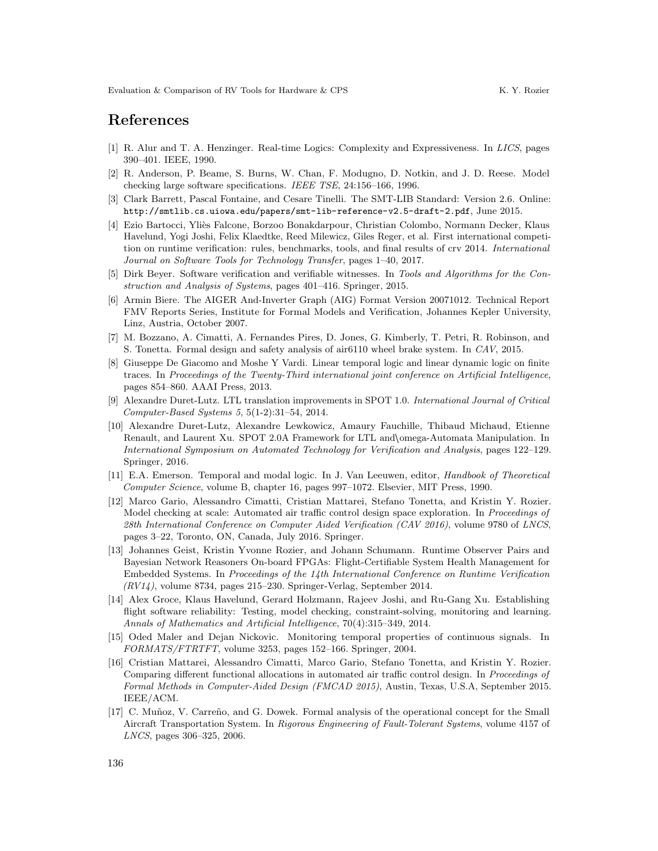### References

- <span id="page-13-7"></span>[1] R. Alur and T. A. Henzinger. Real-time Logics: Complexity and Expressiveness. In LICS, pages 390–401. IEEE, 1990.
- <span id="page-13-1"></span>[2] R. Anderson, P. Beame, S. Burns, W. Chan, F. Modugno, D. Notkin, and J. D. Reese. Model checking large software specifications. IEEE TSE, 24:156–166, 1996.
- <span id="page-13-16"></span>[3] Clark Barrett, Pascal Fontaine, and Cesare Tinelli. The SMT-LIB Standard: Version 2.6. Online: <http://smtlib.cs.uiowa.edu/papers/smt-lib-reference-v2.5-draft-2.pdf>, June 2015.
- <span id="page-13-6"></span>[4] Ezio Bartocci, Yliès Falcone, Borzoo Bonakdarpour, Christian Colombo, Normann Decker, Klaus Havelund, Yogi Joshi, Felix Klaedtke, Reed Milewicz, Giles Reger, et al. First international competition on runtime verification: rules, benchmarks, tools, and final results of crv 2014. International Journal on Software Tools for Technology Transfer, pages 1–40, 2017.
- <span id="page-13-14"></span>[5] Dirk Beyer. Software verification and verifiable witnesses. In Tools and Algorithms for the Construction and Analysis of Systems, pages 401–416. Springer, 2015.
- <span id="page-13-15"></span>[6] Armin Biere. The AIGER And-Inverter Graph (AIG) Format Version 20071012. Technical Report FMV Reports Series, Institute for Formal Models and Verification, Johannes Kepler University, Linz, Austria, October 2007.
- <span id="page-13-2"></span>[7] M. Bozzano, A. Cimatti, A. Fernandes Pires, D. Jones, G. Kimberly, T. Petri, R. Robinson, and S. Tonetta. Formal design and safety analysis of air6110 wheel brake system. In CAV, 2015.
- <span id="page-13-9"></span>[8] Giuseppe De Giacomo and Moshe Y Vardi. Linear temporal logic and linear dynamic logic on finite traces. In Proceedings of the Twenty-Third international joint conference on Artificial Intelligence, pages 854–860. AAAI Press, 2013.
- <span id="page-13-12"></span>[9] Alexandre Duret-Lutz. LTL translation improvements in SPOT 1.0. International Journal of Critical Computer-Based Systems 5, 5(1-2):31–54, 2014.
- <span id="page-13-13"></span>[10] Alexandre Duret-Lutz, Alexandre Lewkowicz, Amaury Fauchille, Thibaud Michaud, Etienne Renault, and Laurent Xu. SPOT 2.0A Framework for LTL and/omega-Automata Manipulation. In International Symposium on Automated Technology for Verification and Analysis, pages 122–129. Springer, 2016.
- <span id="page-13-10"></span>[11] E.A. Emerson. Temporal and modal logic. In J. Van Leeuwen, editor, Handbook of Theoretical Computer Science, volume B, chapter 16, pages 997–1072. Elsevier, MIT Press, 1990.
- <span id="page-13-4"></span>[12] Marco Gario, Alessandro Cimatti, Cristian Mattarei, Stefano Tonetta, and Kristin Y. Rozier. Model checking at scale: Automated air traffic control design space exploration. In Proceedings of 28th International Conference on Computer Aided Verification (CAV 2016), volume 9780 of LNCS, pages 3–22, Toronto, ON, Canada, July 2016. Springer.
- <span id="page-13-11"></span>[13] Johannes Geist, Kristin Yvonne Rozier, and Johann Schumann. Runtime Observer Pairs and Bayesian Network Reasoners On-board FPGAs: Flight-Certifiable System Health Management for Embedded Systems. In Proceedings of the 14th International Conference on Runtime Verification  $(RV14)$ , volume 8734, pages 215–230. Springer-Verlag, September 2014.
- <span id="page-13-3"></span>[14] Alex Groce, Klaus Havelund, Gerard Holzmann, Rajeev Joshi, and Ru-Gang Xu. Establishing flight software reliability: Testing, model checking, constraint-solving, monitoring and learning. Annals of Mathematics and Artificial Intelligence, 70(4):315–349, 2014.
- <span id="page-13-8"></span>[15] Oded Maler and Dejan Nickovic. Monitoring temporal properties of continuous signals. In FORMATS/FTRTFT, volume 3253, pages 152–166. Springer, 2004.
- <span id="page-13-5"></span>[16] Cristian Mattarei, Alessandro Cimatti, Marco Gario, Stefano Tonetta, and Kristin Y. Rozier. Comparing different functional allocations in automated air traffic control design. In Proceedings of Formal Methods in Computer-Aided Design (FMCAD 2015), Austin, Texas, U.S.A, September 2015. IEEE/ACM.
- <span id="page-13-0"></span>[17] C. Muñoz, V. Carreño, and G. Dowek. Formal analysis of the operational concept for the Small Aircraft Transportation System. In Rigorous Engineering of Fault-Tolerant Systems, volume 4157 of LNCS, pages 306–325, 2006.